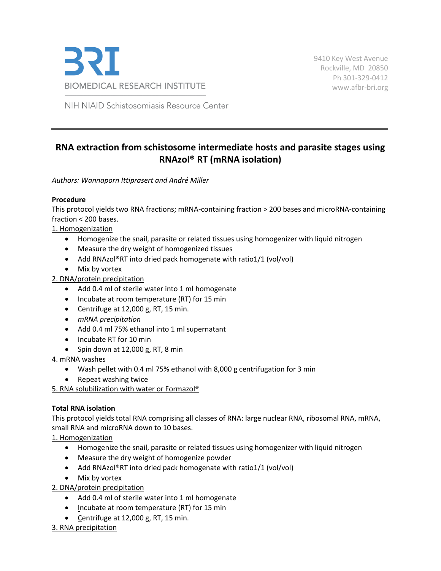

9410 Key West Avenue Rockville, MD 20850 Ph 301-329-0412 [www.afbr-bri.org](http://www.afbr-bri.org/)

NIH NIAID Schistosomiasis Resource Center

# **RNA extraction from schistosome intermediate hosts and parasite stages using RNAzol® RT (mRNA isolation)**

*Authors: Wannaporn Ittiprasert and Andrẻ Miller*

## **Procedure**

This protocol yields two RNA fractions; mRNA-containing fraction > 200 bases and microRNA-containing fraction < 200 bases.

1. Homogenization

- Homogenize the snail, parasite or related tissues using homogenizer with liquid nitrogen
- Measure the dry weight of homogenized tissues
- Add RNAzol®RT into dried pack homogenate with ratio1/1 (vol/vol)
- Mix by vortex

2. DNA/protein precipitation

- Add 0.4 ml of sterile water into 1 ml homogenate
- Incubate at room temperature (RT) for 15 min
- Centrifuge at 12,000 g, RT, 15 min.
- *mRNA precipitation*
- Add 0.4 ml 75% ethanol into 1 ml supernatant
- Incubate RT for 10 min
- Spin down at 12,000 g, RT, 8 min

4. mRNA washes

- Wash pellet with 0.4 ml 75% ethanol with 8,000 g centrifugation for 3 min
- Repeat washing twice

5. RNA solubilization with water or Formazol®

### **Total RNA isolation**

This protocol yields total RNA comprising all classes of RNA: large nuclear RNA, ribosomal RNA, mRNA, small RNA and microRNA down to 10 bases.

1. Homogenization

- Homogenize the snail, parasite or related tissues using homogenizer with liquid nitrogen
- Measure the dry weight of homogenize powder
- Add RNAzol®RT into dried pack homogenate with ratio1/1 (vol/vol)
- Mix by vortex

2. DNA/protein precipitation

- Add 0.4 ml of sterile water into 1 ml homogenate
- Incubate at room temperature (RT) for 15 min
- Centrifuge at 12,000 g, RT, 15 min.

3. RNA precipitation